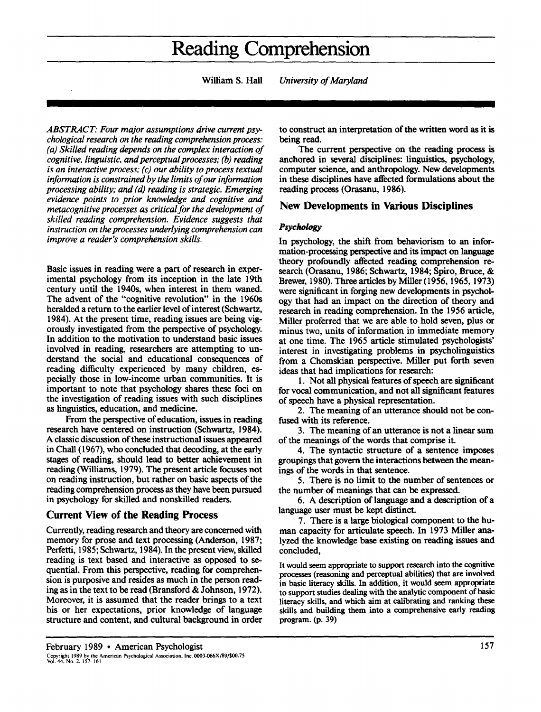# **Reading Comprehension**

**William S. Hall**  *University of Maryland* 

*ABSTRACT: Four major assumptions drive current psychological research on the reading comprehension process: ( a) Skilled reading depends on the complex interaction of cognitive, linguistic, and perceptual processes; (b) reading is an interactive process; (c) our ability to process textual information is constrained by the limits of our information processing ability; and (d) reading is strategic. Emerging evidence points to prior knowledge and cognitive and metacognitive processes as critical for the development of skilled reading comprehension. Evidence suggests that instruction on the processes underlying comprehension can improve a reader's comprehension skills.* 

Basic issues in reading were a part of research in experimental psychology from its inception in the late 19th century until the 1940s, when interest in them waned. The advent of the "cognitive revolution" in the 1960s heralded a return to the earlier level of interest (Schwartz, 1984). At the present time, reading issues are being vigorously investigated from the perspective of psychology. In addition to the motivation to understand basic issues involved in reading, researchers are attempting to understand the social and educational consequences of reading difficulty experienced by many children, especially those in low-income urban communities. It is important to note that psychology shares these foci on the investigation of reading issues with such disciplines as linguistics, education, and medicine.

From the perspective of education, issues in reading research have centered on instruction (Schwartz, 1984). A classic discussion of these instructional issues appeared in Chall ( 1967), who concluded that decoding, at the early stages of reading, should lead to better achievement in reading (Williams, 1979). The present article focuses not on reading instruction, but rather on basic aspects of the reading comprehension process as they have been pursued in psychology for skilled and nonskilled readers.

# **Current View of the Reading Process**

Currently, reading research and theory are concerned with memory for prose and text processing (Anderson, 1987; Perfetti, 1985; Schwartz, 1984). In the present view, skilled reading is text based and interactive as opposed to sequential. From this perspective, reading for comprehension is purposive and resides as much in the person reading as in the text to be read (Bransford & Johnson, 1972). Moreover, it is assumed that the reader brings to a text his or her expectations, prior knowledge of language structure and content, and cultural background in order to construct an interpretation of the written word as it is being read.

The current perspective on the reading process is anchored in several disciplines: linguistics, psychology, computer science, and anthropology. New developments in these disciplines have affected formulations about the reading process (Orasanu, 1986).

# **New Developments in Various Disciplines**

#### *Psychology*

In psychology, the shift from behaviorism to an information-processing perspective and its impact on language theory profoundly affected reading comprehension research (Orasanu, 1986; Schwartz, 1984; Spiro, Bruce, & Brewer, 1980). Three articles by Miller (1956, 1965, 1973) were significant in forging new developments in psychology that had an impact on the direction of theory and research in reading comprehension. In the 1956 article, Miller proferred that we are able to hold seven, plus or minus two, units of information in immediate memory at one time. The 1965 article stimulated psychologists' interest in investigating problems in psycholinguistics from a Chomskian perspective. Miller put forth seven ideas that had implications for research:

1. Not all physical features of speech are significant for vocal communication, and not all significant features of speech have a physical representation.

2. The meaning of an utterance should not be confused with its reference.

3. The meaning of an utterance is not a linear sum of the meanings of the words that comprise it.

4. The syntactic structure of a sentence imposes groupings that govern the interactions between the meanings of the words in that sentence.

5. There is no limit to the number of sentences or the number of meanings that can be expressed.

6. A description of language and a description of a language user must be kept distinct.

7. There is a large biological component to the human capacity for articulate speech. In 1973 Miller analyzed the knowledge base existing on reading issues and concluded,

It would seem appropriate to support research into the cognitive processes (reasoning and perceptual abilities) that are involved in basic literacy skills. In addition, it would seem appropriate to support studies dealing with the analytic component of basic literacy skills, and which aim at calibrating and ranking these skills and building them into a comprehensive early reading program. (p. 39)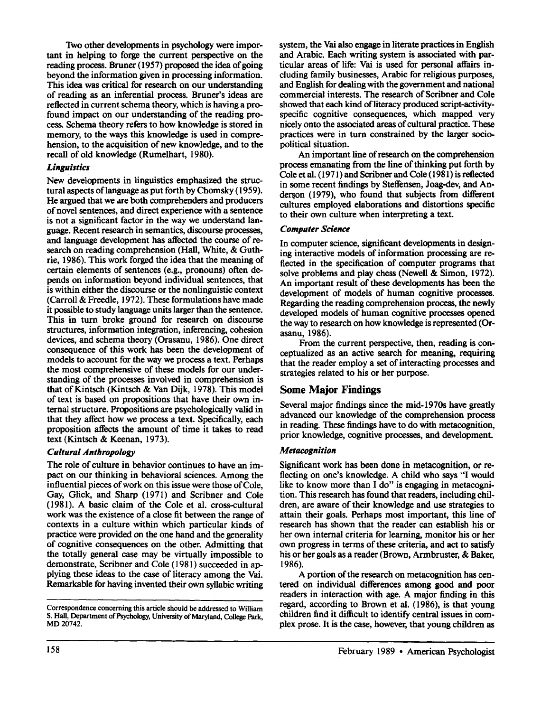Two other developments in psychology were important in helping to forge the current perspective on the reading process. Bruner ( 1957) proposed the idea of going beyond the information given in processing information. This idea was critical for research on our understanding of reading as an inferential process. Bruner's ideas are reflected in current schema theory, which is having a profound impact on our understanding of the reading process. Schema theory refers to how knowledge is stored in memory, to the ways this knowledge is used in comprehension, to the acquisition of new knowledge, and to the recall of old knowledge (Rumelhart, 1980).

## *Linguistics*

New developments in linguistics emphasized the structural aspects oflanguage as put forth by Chomsky ( 1959). He argued that we are both comprehenders and producers of novel sentences, and direct experience with a sentence is not a significant factor in the way we understand language. Recent research in semantics, discourse processes, and language development has affected the course of research on reading comprehension (Hall, White, & Guthrie, 1986). This work forged the idea that the meaning of certain elements of sentences (e.g., pronouns) often depends on information beyond individual sentences, that is within either the discourse or the nonlinguistic context (Carroll & Freedle, 1972). These formulations have made it possible to study language units larger than the sentence. This in tum broke ground for research on discourse structures, information integration, inferencing, cohesion devices, and schema theory (Orasanu, 1986). One direct consequence of this work has been the development of models to account for the way we process a text. Perhaps the most comprehensive of these models for our understanding of the processes involved in comprehension is that of Kintsch (Kintsch & Van Dijk, 1978). This model of text is based on propositions that have their own internal structure. Propositions are psychologically valid in that they affect how we process a text. Specifically, each proposition affects the amount of time it takes to read text (Kintsch & Keenan, 1973).

# *Cultural Anthropology*

The role of culture in behavior continues to have an impact on our thinking in behavioral sciences. Among the influential pieces of work on this issue were those of Cole, Gay, Glick, and Sharp ( 1971) and Scribner and Cole (1981). A basic claim of the Cole et al. cross-cultural work was the existence of a close fit between the range of contexts in a culture within which particular kinds of practice were provided on the one hand and the generality of cognitive consequences on the other. Admitting that the totally general case may be virtually impossible to demonstrate, Scribner and Cole ( 1981) succeeded in applying these ideas to the case of literacy among the Vai. Remarkable for having invented their own syllabic writing

system, the Vai also engage in literate practices in English and Arabic. Each writing system is associated with particular areas of life: Vai is used for personal affairs including family businesses, Arabic for religious purposes, and English for dealing with the government and national commercial interests. The research of Scribner and Cole showed that each kind of literacy produced script-activityspecific cognitive consequences, which mapped very nicely onto the associated areas of cultural practice. These practices were in tum constrained by the larger sociopolitical situation.

An important line of research on the comprehension process emanating from the line of thinking put forth by Cole et al. ( 1971) and Scribner and Cole ( 1981) is reflected in some recent findings by Steffensen, Joag-dev, and Anderson  $(1979)$ , who found that subjects from different cultures employed elaborations and distortions specific to their own culture when interpreting a text.

## *Computer Science*

In computer science, significant developments in designing interactive models of information processing are reflected in the specification of computer programs that solve problems and play chess (Newell & Simon, 1972). An important result of these developments has been the development of models of human cognitive processes. Regarding the reading comprehension process, the newly developed models of human cognitive processes opened the way to research on how knowledge is represented (Orasanu, 1986).

From the current perspective, then, reading is conceptualized as an active search for meaning, requiring that the reader employ a set of interacting processes and strategies related to his or her purpose.

# **Some Major Findings**

Several major findings since the mid-1970s have greatly advanced our knowledge of the comprehension process in reading. These findings have to do with metacognition, prior knowledge, cognitive processes, and development.

# *Metacognition*

Significant work has been done in metacognition, or reflecting on one's knowledge. A child who says "I would like to know more than I do" is engaging in metacognition. This research has found that readers, including children, are aware of their knowledge and use strategies to attain their goals. Perhaps most important, this line of research has shown that the reader can establish his or her own internal criteria for learning, monitor his or her own progress in terms of these criteria, and act to satisfy his or her goals as a reader (Brown, Armbruster, & Baker, 1986).

A portion of the research on metacognition has centered on individual differences among good and poor readers in interaction with age. A major finding in this regard, according to Brown et al. ( 1986), is that young children find it difficult to identify central issues in complex prose. It is the case, however, that young children as

Correspondence concerning this article should be addressed to William S. Hall, Department of Psychology, University of Maryland, College Park, MD20742.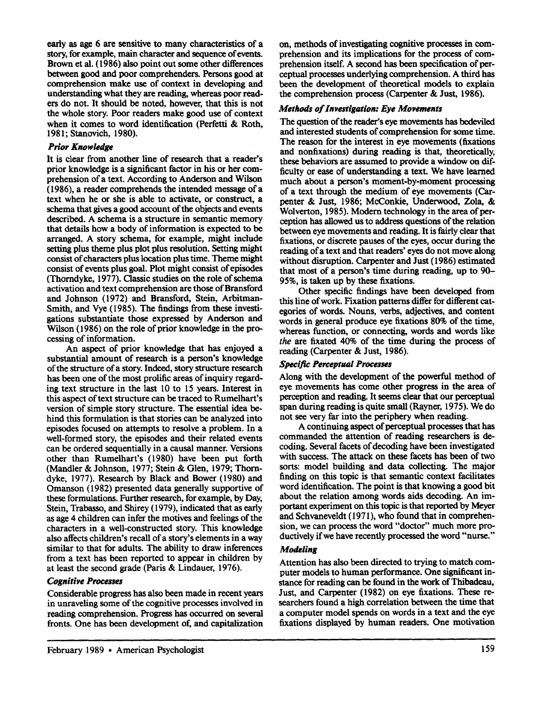early as age 6 are sensitive to many characteristics of a story, for example, main character and sequence of events. Brown et al. ( 1986) also point out some other differences between good and poor comprehenders. Persons good at comprehension make use of context in developing and understanding what they are reading, whereas poor readers do not. It should be noted, however, that this is not the whole story. Poor readers make good use of context when it comes to word identification (Perfetti & Roth, 1981; Stanovich, 1980).

#### *Prior Knowledge*

It is clear from another line of research that a reader's prior knowledge is a significant factor in his or her comprehension of a text. According to Anderson and Wilson ( 1986), a reader comprehends the intended message of a text when he or she is able to activate, or construct, a schema that gives a good account of the objects and events described. A schema is a structure in semantic memory that details how a body of information is expected to be arranged. A story schema, for example, might include setting plus theme plus plot plus resolution. Setting might consist of characters plus location plus time. Theme might consist of events plus goal. Plot might consist of episodes (Thorndyke, 1977). Oassic studies on the role of schema activation and text comprehension are those of Bransford and Johnson (1972) and Bransford, Stein, Arbitman-Smith, and Vye ( 1985). The findings from these investigations substantiate those expressed by Anderson and Wilson (1986) on the role of prior knowledge in the processing of information.

An aspect of prior knowledge that has enjoyed a substantial amount of research is a person's knowledge of the structure of a story. Indeed, story structure research has been one of the most prolific areas of inquiry regarding text structure in the last 10 to 15 years. Interest in this aspect of text structure can be traced to Rumelhart's version of simple story structure. The essential idea behind this formulation is that stories can be analyzed into episodes focused on attempts to resolve a problem. In a well-formed story, the episodes and their related events can be ordered sequentially in a causal manner. Versions other than Rumelhart's ( 1980) have been put forth (Mandler & Johnson, 1977; Stein & Glen, 1979; Thorndyke, 1977). Research by Black and Bower (1980) and Omanson ( 1982) presented data generally supportive of these formulations. Further research, for example, by Day, Stein, Trabasso, and Shirey ( 1979), indicated that as early as age 4 children can infer the motives and feelings of the characters in a well-constructed story. This knowledge also affects children's recall of a story's elements in a way similar to that for adults. The ability to draw inferences from a text has been reported to appear in children by at least the second grade (Paris & Lindauer, 1976).

#### *Cognitive Processes*

Considerable progress has also been made in recent years in unraveling some of the cognitive processes involved in reading comprehension. Progress has occurred on several fronts. One has been development of, and capitalization on, methods of investigating cognitive processes in comprehension and its implications for the process of comprehension itself. A second has been specification of perceptual processes underlying comprehension. A third has been the development of theoretical models to explain the comprehension process (Carpenter & Just, 1986).

#### *Methods of Investigation: Eye Movements*

The question of the reader's eye movements has bedeviled and interested students of comprehension for some time. The reason for the interest in eye movements (fixations and nonfixations) during reading is that, theoretically, these behaviors are assumed to provide a window on difficulty or ease of understanding a text. We have learned much about a person's moment-by-moment processing of a text through the medium of eye movements (Carpenter & Just, 1986; McConkie, Underwood, Zola, & Wolverton, 1985). Modern technology in the area of perception has allowed us to address questions of the relation between eye movements and reading. It is fairly clear that fixations, or discrete pauses of the eyes, occur during the reading of a text and that readers' eyes do not move along without disruption. Carpenter and Just ( 1986) estimated that most of a person's time during reading, up to 90- 95%, is taken up by these fixations.

Other specific findings have been developed from this line of work. Fixation patterns differ for different categories of words. Nouns, verbs, adjectives, and content words in general produce eye fixations 80% of the time, whereas function, or connecting, words and words like *the* are fixated 40% of the time during the process of reading (Carpenter & Just, 1986).

#### *Specific Perceptual Processes*

Along with the development of the powerful method of eye movements has come other progress in the area of perception and reading. It seems clear that our perceptual span during reading is quite small (Rayner, 1975). We do not see very far into the periphery when reading.

A continuing aspect of perceptual processes that has commanded the attention of reading researchers is decoding. Several facets of decoding have been investigated with success. The attack on these facets has been of two sorts: model building and data collecting. The major finding on this topic is that semantic context facilitates word identification. The point is that knowing a good bit about the relation among words aids decoding. An important experiment on this topic is that reported by Meyer and Schvaneveldt (1971), who found that in comprehension, we can process the word "doctor" much more productively if we have recently processed the word "nurse."

# *Modeling*

Attention has also been directed to trying to match computer models to human performance. One significant instance for reading can be found in the work of Thibadeau, Just, and Carpenter (1982) on eye fixations. These researchers found a high correlation between the time that a computer model spends on words in a text and the eye fixations displayed by human readers. One motivation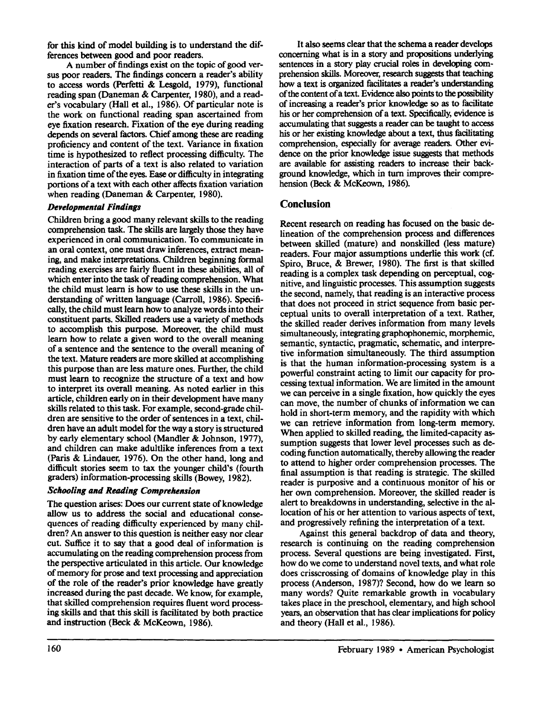for this kind of model building is to understand the differences between good and poor readers.

A number of findings exist on the topic of good versus poor readers. The findings concern a reader's ability to access words (Perfetti & Lesgold, 1979), functional reading span (Daneman & Carpenter, 1980), and a reader's vocabulary (Hall et al., 1986). Of particular note is the work on functional reading span ascertained from eye fixation research. Fixation of the eye during reading depends on several factors. Chief among these are reading proficiency and content of the text. Variance in fixation time is hypothesized to reflect processing difficulty. The interaction of parts of a text is also related to variation in fixation time of the eyes. Ease or difficulty in integrating portions of a text with each other affects fixation variation when reading (Daneman & Carpenter, 1980).

# *Developmental Findings*

Children bring a good many relevant skills to the reading comprehension task. The skills are largely those they have experienced in oral communication. To communicate in an oral context, one must draw inferences, extract meaning, and make interpretations. Children beginning formal reading exercises are fairly fluent in these abilities, all of which enter into the task of reading comprehension. What the child must learn is how to use these skills in the understanding of written language (Carroll, 1986). Specifically, the child must learn how to analyze words into their constituent parts. Skilled readers use a variety of methods to accomplish this purpose. Moreover, the child must learn how to relate a given word to the overall meaning of a sentence and the sentence to the overall meaning of the text. Mature readers are more skilled at accomplishing this purpose than are less mature ones. Further, the child must learn to recognize the structure of a text and how to interpret its overall meaning. As noted earlier in this article, children early on in their development have many skills related to this task. For example, second-grade children are sensitive to the order of sentences in a text, children have an adult model for the way a story is structured by early elementary school (Mandler & Johnson, 1977), and children can make adultlike inferences from a text (Paris & Lindauer, 1976). On the other hand, long and difficult stories seem to tax the younger child's (fourth graders) information-processing skills (Bowey, 1982).

#### *Schooling and Reading Comprehension*

The question arises: Does our current state of knowledge allow us to address the social and educational consequences of reading difficulty experienced by many children? An answer to this question is neither easy nor clear cut. Suffice it to say that a good deal of information is accumulating on the reading comprehension process from the perspective articulated in this article. Our knowledge of memory for prose and text processing and appreciation of the role of the reader's prior knowledge have greatly increased during the past decade. We know, for example, that skilled comprehension requires fluent word processing skills and that this skill is facilitated by both practice and instruction (Beck & McKeown, 1986).

It also seems clear that the schema a reader develops concerning what is in a story and propositions underlying sentences in a story play crucial roles in developing comprehension skills. Moreover, research suggests that teaching how a text is organized facilitates a reader's understanding of the content of a text. Evidence also points to the possibility of increasing a reader's prior knowledge so as to facilitate his or her comprehension of a text. Specifically, evidence is accumulating that suggests a reader can be taught to access his or her existing knowledge about a text, thus facilitating comprehension, especially for average readers. Other evidence on the prior knowledge issue suggests that methods are available for assisting readers to increase their background knowledge, which in turn improves their comprehension (Beck & McKeown, 1986).

# **Conclusion**

Recent research on reading has focused on the basic delineation of the comprehension process and differences between skilled (mature) and nonskilled (less mature) readers. Four major assumptions underlie this work (cf. Spiro, Bruce, & Brewer, 1980). The first is that skilled reading is a complex task depending on perceptual, cognitive, and linguistic processes. This assumption suggests the second, namely, that reading is an interactive process that does not proceed in strict sequence from basic perceptual units to overall interpretation of a text. Rather, the skilled reader derives information from many levels simultaneously, integrating graphophonemic, morphemic, semantic, syntactic, pragmatic, schematic, and interpretive information simultaneously. The third assumption is that the human information-processing system is a powerful constraint acting to limit our capacity for processing textual information. We are limited in the amount we can perceive in a single fixation, how quickly the eyes can move, the number of chunks of information we can hold in short-term memory, and the rapidity with which we can retrieve information from long-term memory. When applied to skilled reading, the limited-capacity assumption suggests that lower level processes such as decoding function automatically, thereby allowing the reader to attend to higher order comprehension processes. The final assumption is that reading is strategic. The skilled reader is purposive and a continuous monitor of his or her own comprehension. Moreover, the skilled reader is alert to breakdowns in understanding, selective in the allocation of his or her attention to various aspects of text, and progressively refining the interpretation of a text.

Against this general backdrop of data and theory, research is continuing on the reading comprehension process. Several questions are being investigated. First, how do we come to understand novel texts, and what role does crisscrossing of domains of knowledge play in this process (Anderson, 1987)? Second, how do we learn so many words? Quite remarkable growth in vocabulary takes place in the preschool, elementary, and high school years, an observation that has clear implications for policy and theory (Hall et al., 1986).